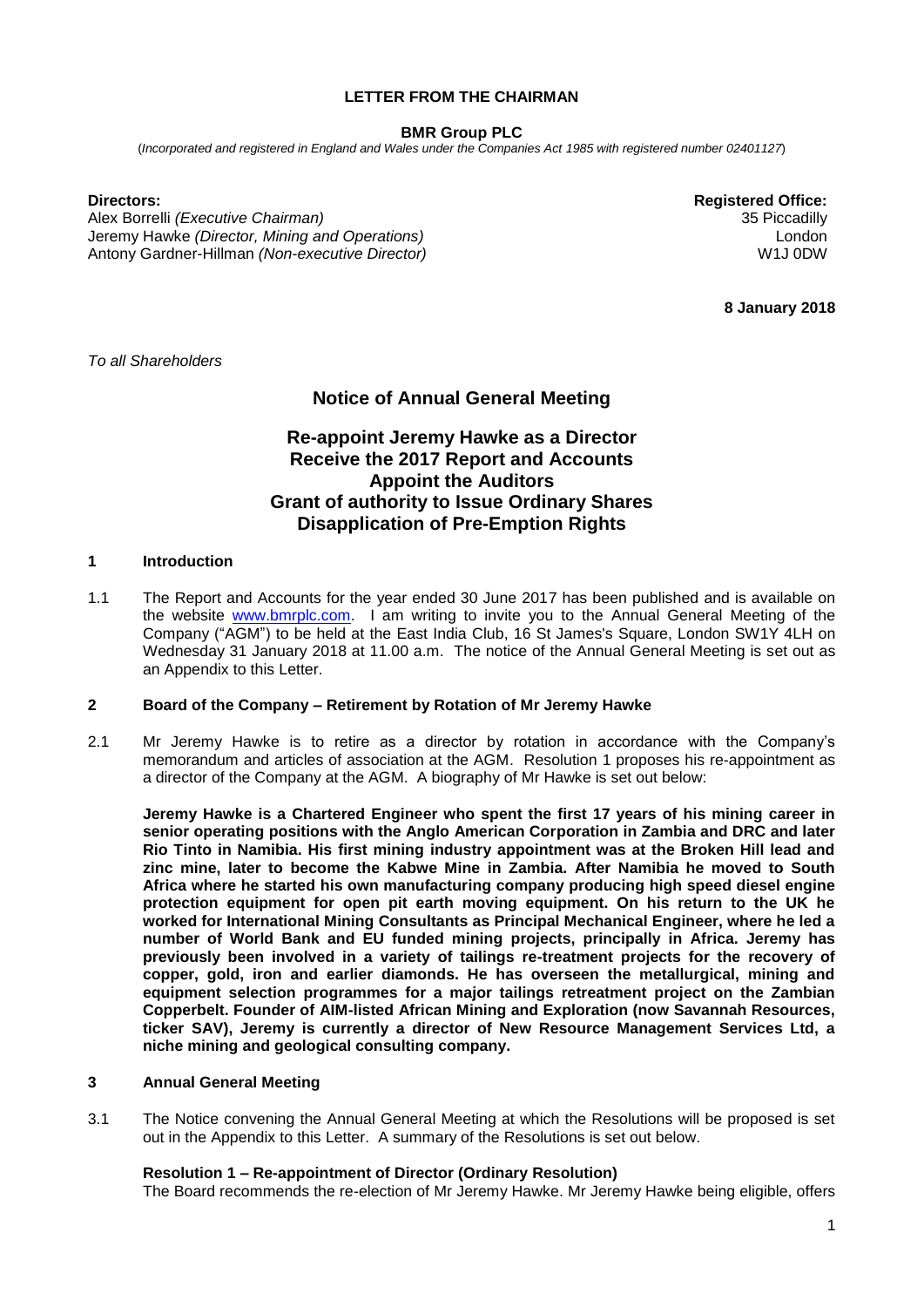# **LETTER FROM THE CHAIRMAN**

## **BMR Group PLC**

(*Incorporated and registered in England and Wales under the Companies Act 1985 with registered number 02401127*)

Alex Borrelli *(Executive Chairman)* 35 Piccadilly Jeremy Hawke *(Director, Mining and Operations)* Antony Gardner-Hillman *(Non-executive Director)*

**Directors: Registered Office:** London W1J 0DW

**8 January 2018**

*To all Shareholders*

# **Notice of Annual General Meeting**

# **Re-appoint Jeremy Hawke as a Director Receive the 2017 Report and Accounts Appoint the Auditors Grant of authority to Issue Ordinary Shares Disapplication of Pre-Emption Rights**

## **1 Introduction**

1.1 The Report and Accounts for the year ended 30 June 2017 has been published and is available on the website [www.bmrplc.com.](http://www.bmrplc.com/) I am writing to invite you to the Annual General Meeting of the Company ("AGM") to be held at the East India Club, 16 St James's Square, London SW1Y 4LH on Wednesday 31 January 2018 at 11.00 a.m. The notice of the Annual General Meeting is set out as an Appendix to this Letter.

## **2 Board of the Company – Retirement by Rotation of Mr Jeremy Hawke**

2.1 Mr Jeremy Hawke is to retire as a director by rotation in accordance with the Company's memorandum and articles of association at the AGM. Resolution 1 proposes his re-appointment as a director of the Company at the AGM. A biography of Mr Hawke is set out below:

**Jeremy Hawke is a Chartered Engineer who spent the first 17 years of his mining career in senior operating positions with the Anglo American Corporation in Zambia and DRC and later Rio Tinto in Namibia. His first mining industry appointment was at the Broken Hill lead and zinc mine, later to become the Kabwe Mine in Zambia. After Namibia he moved to South Africa where he started his own manufacturing company producing high speed diesel engine protection equipment for open pit earth moving equipment. On his return to the UK he worked for International Mining Consultants as Principal Mechanical Engineer, where he led a number of World Bank and EU funded mining projects, principally in Africa. Jeremy has previously been involved in a variety of tailings re-treatment projects for the recovery of copper, gold, iron and earlier diamonds. He has overseen the metallurgical, mining and equipment selection programmes for a major tailings retreatment project on the Zambian Copperbelt. Founder of AIM-listed African Mining and Exploration (now Savannah Resources, ticker SAV), Jeremy is currently a director of New Resource Management Services Ltd, a niche mining and geological consulting company.** 

# **3 Annual General Meeting**

3.1 The Notice convening the Annual General Meeting at which the Resolutions will be proposed is set out in the Appendix to this Letter. A summary of the Resolutions is set out below.

## **Resolution 1 – Re-appointment of Director (Ordinary Resolution)**

The Board recommends the re-election of Mr Jeremy Hawke. Mr Jeremy Hawke being eligible, offers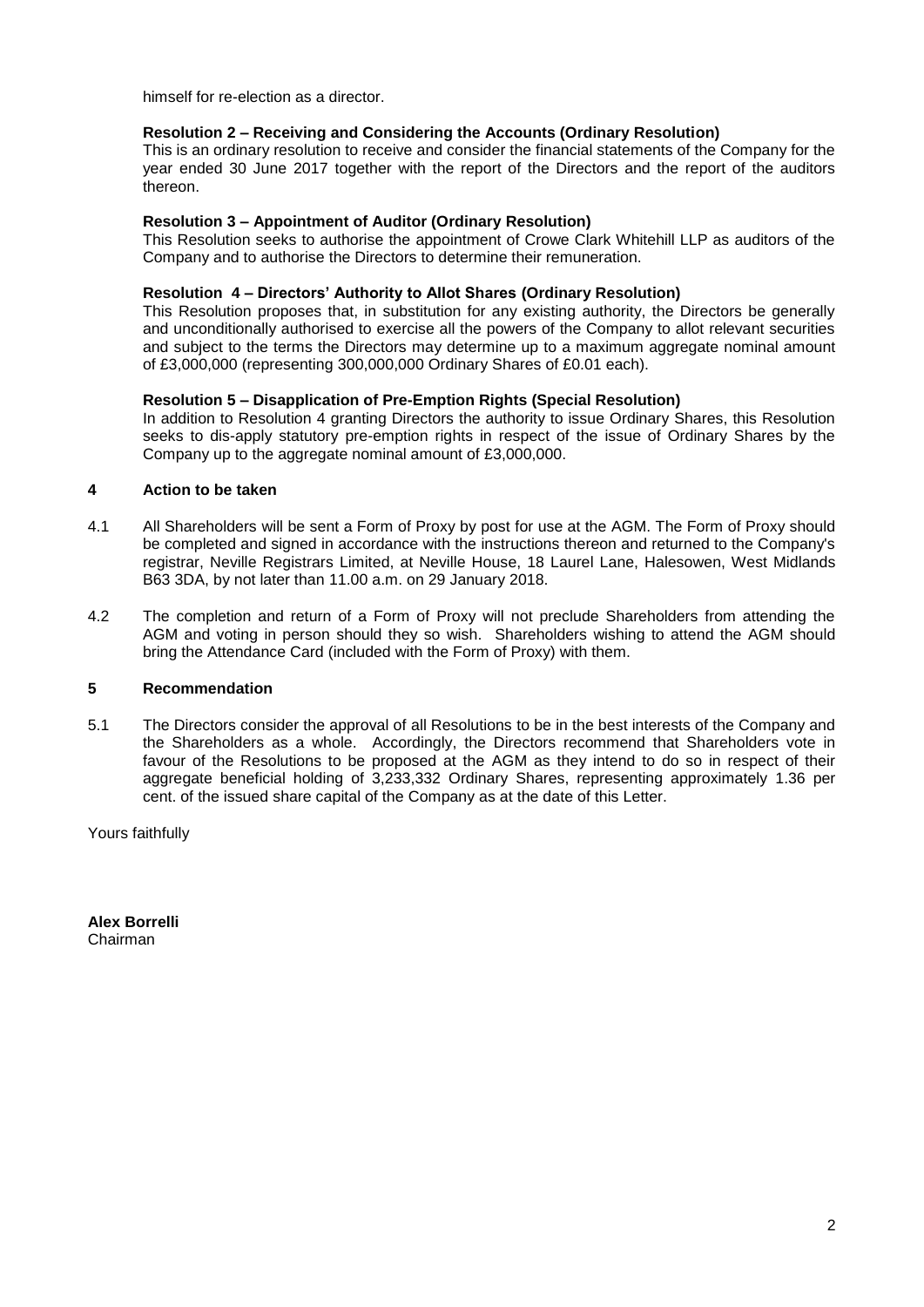himself for re-election as a director.

# **Resolution 2 – Receiving and Considering the Accounts (Ordinary Resolution)**

This is an ordinary resolution to receive and consider the financial statements of the Company for the year ended 30 June 2017 together with the report of the Directors and the report of the auditors thereon.

## **Resolution 3 – Appointment of Auditor (Ordinary Resolution)**

This Resolution seeks to authorise the appointment of Crowe Clark Whitehill LLP as auditors of the Company and to authorise the Directors to determine their remuneration.

# **Resolution 4 – Directors' Authority to Allot Shares (Ordinary Resolution)**

This Resolution proposes that, in substitution for any existing authority, the Directors be generally and unconditionally authorised to exercise all the powers of the Company to allot relevant securities and subject to the terms the Directors may determine up to a maximum aggregate nominal amount of £3,000,000 (representing 300,000,000 Ordinary Shares of £0.01 each).

# **Resolution 5 – Disapplication of Pre-Emption Rights (Special Resolution)**

In addition to Resolution 4 granting Directors the authority to issue Ordinary Shares, this Resolution seeks to dis-apply statutory pre-emption rights in respect of the issue of Ordinary Shares by the Company up to the aggregate nominal amount of £3,000,000.

## **4 Action to be taken**

- 4.1 All Shareholders will be sent a Form of Proxy by post for use at the AGM. The Form of Proxy should be completed and signed in accordance with the instructions thereon and returned to the Company's registrar, Neville Registrars Limited, at Neville House, 18 Laurel Lane, Halesowen, West Midlands B63 3DA, by not later than 11.00 a.m. on 29 January 2018.
- 4.2 The completion and return of a Form of Proxy will not preclude Shareholders from attending the AGM and voting in person should they so wish. Shareholders wishing to attend the AGM should bring the Attendance Card (included with the Form of Proxy) with them.

# **5 Recommendation**

5.1 The Directors consider the approval of all Resolutions to be in the best interests of the Company and the Shareholders as a whole. Accordingly, the Directors recommend that Shareholders vote in favour of the Resolutions to be proposed at the AGM as they intend to do so in respect of their aggregate beneficial holding of 3,233,332 Ordinary Shares, representing approximately 1.36 per cent. of the issued share capital of the Company as at the date of this Letter.

Yours faithfully

**Alex Borrelli** Chairman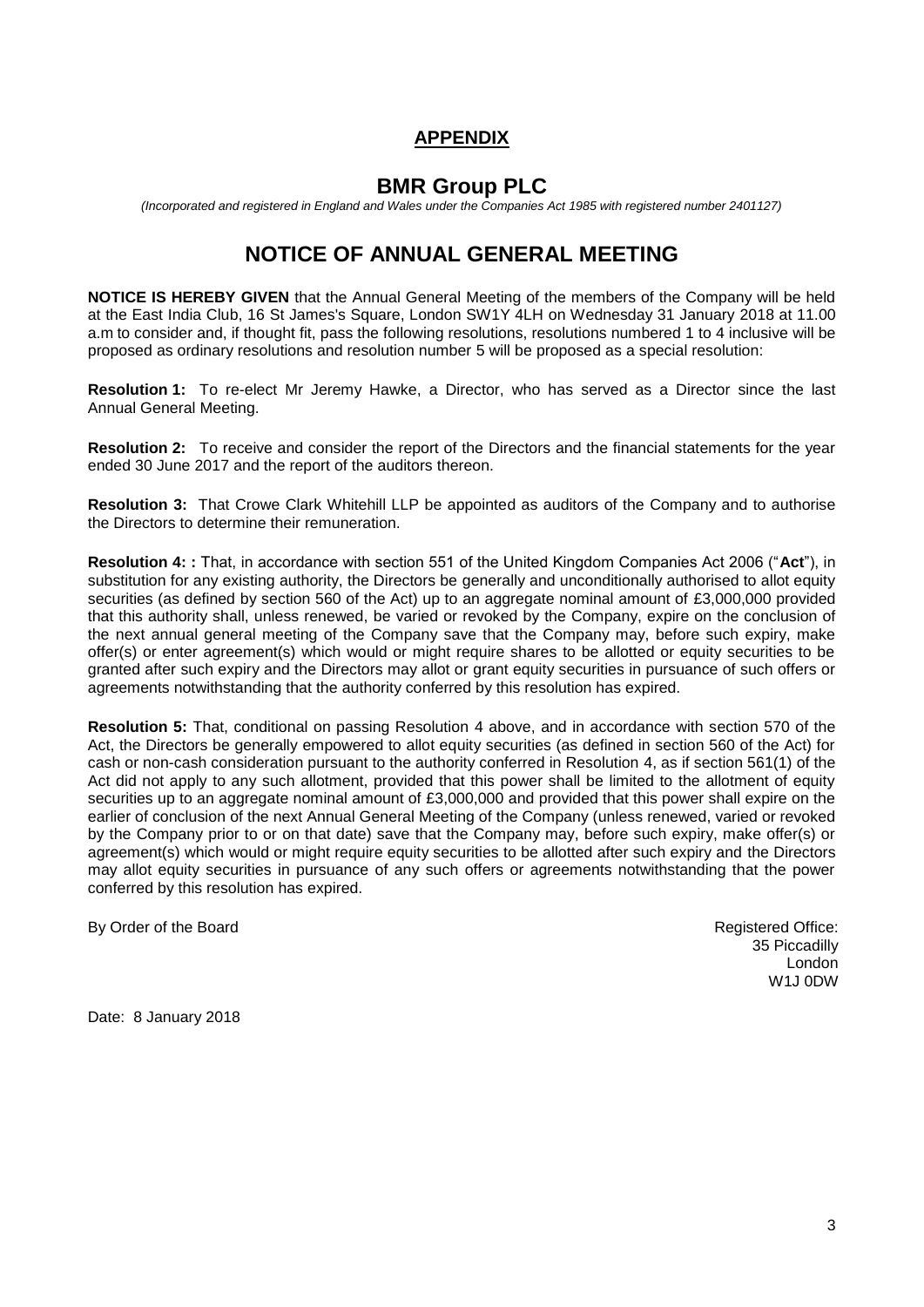# **APPENDIX**

# **BMR Group PLC**

*(Incorporated and registered in England and Wales under the Companies Act 1985 with registered number 2401127)*

# **NOTICE OF ANNUAL GENERAL MEETING**

**NOTICE IS HEREBY GIVEN** that the Annual General Meeting of the members of the Company will be held at the East India Club, 16 St James's Square, London SW1Y 4LH on Wednesday 31 January 2018 at 11.00 a.m to consider and, if thought fit, pass the following resolutions, resolutions numbered 1 to 4 inclusive will be proposed as ordinary resolutions and resolution number 5 will be proposed as a special resolution:

**Resolution 1:** To re-elect Mr Jeremy Hawke, a Director, who has served as a Director since the last Annual General Meeting.

**Resolution 2:** To receive and consider the report of the Directors and the financial statements for the year ended 30 June 2017 and the report of the auditors thereon.

**Resolution 3:** That Crowe Clark Whitehill LLP be appointed as auditors of the Company and to authorise the Directors to determine their remuneration.

**Resolution 4: :** That, in accordance with section 551 of the United Kingdom Companies Act 2006 ("**Act**"), in substitution for any existing authority, the Directors be generally and unconditionally authorised to allot equity securities (as defined by section 560 of the Act) up to an aggregate nominal amount of £3,000,000 provided that this authority shall, unless renewed, be varied or revoked by the Company, expire on the conclusion of the next annual general meeting of the Company save that the Company may, before such expiry, make offer(s) or enter agreement(s) which would or might require shares to be allotted or equity securities to be granted after such expiry and the Directors may allot or grant equity securities in pursuance of such offers or agreements notwithstanding that the authority conferred by this resolution has expired.

**Resolution 5:** That, conditional on passing Resolution 4 above, and in accordance with section 570 of the Act, the Directors be generally empowered to allot equity securities (as defined in section 560 of the Act) for cash or non-cash consideration pursuant to the authority conferred in Resolution 4, as if section 561(1) of the Act did not apply to any such allotment, provided that this power shall be limited to the allotment of equity securities up to an aggregate nominal amount of £3,000,000 and provided that this power shall expire on the earlier of conclusion of the next Annual General Meeting of the Company (unless renewed, varied or revoked by the Company prior to or on that date) save that the Company may, before such expiry, make offer(s) or agreement(s) which would or might require equity securities to be allotted after such expiry and the Directors may allot equity securities in pursuance of any such offers or agreements notwithstanding that the power conferred by this resolution has expired.

By Order of the Board **Registered Office: By Order of the Board** Registered Office:

35 Piccadilly London W1J 0DW

Date: 8 January 2018